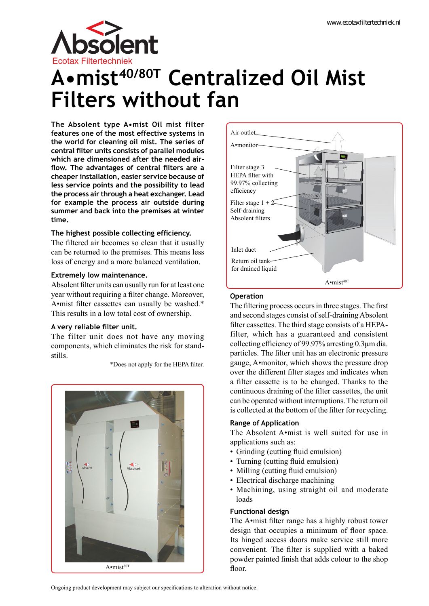

# **Filters without fan A•mist40/80T Centralized Oil Mist**

**The Absolent type A•mist Oil mist filter features one of the most effective systems in the world for cleaning oil mist. The series of central filter units consists of parallel modules which are dimensioned after the needed airflow. The advantages of central filters are a cheaper installation, easier service because of less service points and the possibility to lead the process air through a heat exchanger. Lead for example the process air outside during summer and back into the premises at winter time.**

# **The highest possible collecting efficiency.**

The filtered air becomes so clean that it usually can be returned to the premises. This means less loss of energy and a more balanced ventilation.

# **Extremely low maintenance.**

Absolent filter units can usually run for at least one year without requiring a filter change. Moreover, A•mist filter cassettes can usually be washed.\* This results in a low total cost of ownership.

# **A very reliable filter unit.**

The filter unit does not have any moving components, which eliminates the risk for standstills.

\*Does not apply for the HEPA filter.

Absolent A•mist<sup>80T</sup>



# **Operation**

The filtering process occurs in three stages. The first and second stages consist of self-draining Absolent filter cassettes. The third stage consists of a HEPAfilter, which has a guaranteed and consistent collecting efficiency of 99.97% arresting 0.3µm dia. particles. The filter unit has an electronic pressure gauge, A•monitor, which shows the pressure drop over the different filter stages and indicates when a filter cassette is to be changed. Thanks to the continuous draining of the filter cassettes, the unit can be operated without interruptions. The return oil is collected at the bottom of the filter for recycling.

# **Range of Application**

The Absolent A•mist is well suited for use in applications such as:

- Grinding (cutting fluid emulsion)
- Turning (cutting fluid emulsion)
- Milling (cutting fluid emulsion)
- Electrical discharge machining
- Machining, using straight oil and moderate loads

# **Functional design**

The A•mist filter range has a highly robust tower design that occupies a minimum of floor space. Its hinged access doors make service still more convenient. The filter is supplied with a baked powder painted finish that adds colour to the shop floor.

Ongoing product development may subject our specifications to alteration without notice.